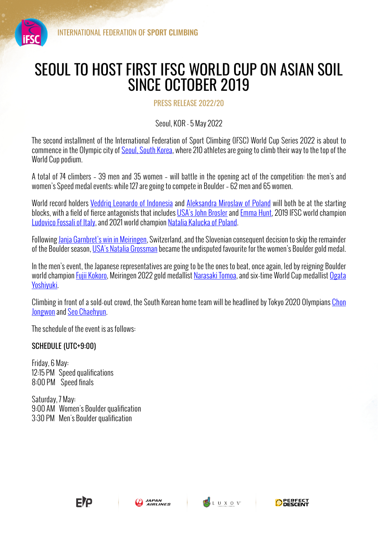

## SEOUL TO HOST FIRST IFSC WORLD CUP ON ASIAN SOIL SINCE OCTOBER 2019

PRESS RELEASE 2022/20

Seoul, KOR - 5 May 2022

The second installment of the International Federation of Sport Climbing (IFSC) World Cup Series 2022 is about to commence in the Olympic city of Seoul, South Korea, where 210 athletes are going to climb their way to the top of the World Cup podium.

A total of 74 climbers – 39 men and 35 women – will battle in the opening act of the competition: the men's and women's Speed medal events; while 127 are going to compete in Boulder – 62 men and 65 women.

World record holders Veddrig Leonardo of Indonesia and Aleksandra Miroslaw of Poland will both be at the starting blocks, with a field of fierce antagonists that includes USA's John Brosler and Emma Hunt, 2019 IFSC world champion Ludovico Fossali of Italy, and 2021 world champion Natalia Kalucka of Poland.

Following Janja Garnbret's win in Meiringen, Switzerland, and the Slovenian consequent decision to skip the remainder of the Boulder season, USA's Natalia Grossman became the undisputed favourite for the women's Boulder gold medal.

In the men's event, the Japanese representatives are going to be the ones to beat, once again, led by reigning Boulder world champion Fujii Kokoro, Meiringen 2022 gold medallist Narasaki Tomoa, and six-time World Cup medallist Ogata Yoshiyuki.

Climbing in front of a sold-out crowd, the South Korean home team will be headlined by Tokyo 2020 Olympians Chon Jongwon and Seo Chaehyun.

The schedule of the event is as follows:

## SCHEDULE (UTC+9:00)

Friday, 6 May: 12:15 PM Speed qualifications 8:00 PM Speed finals

Saturday, 7 May: 9:00 AM Women's Boulder qualification 3:30 PM Men's Boulder qualification